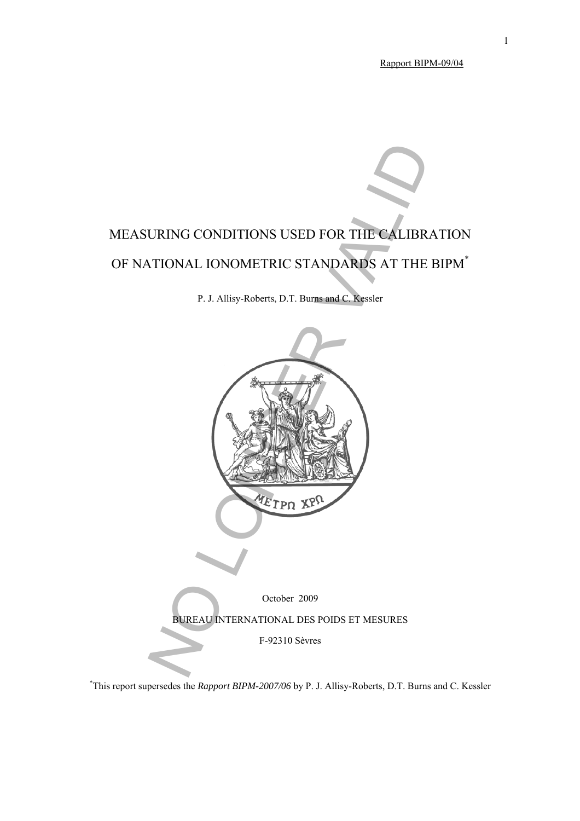Rapport BIPM-09/04

# MEASURING CONDITIONS USED FOR THE CALIBRATION OF NATIONAL IONOMETRIC STANDARDS AT THE BIPM<sup>\*</sup>

P. J. Allisy-Roberts, D.T. Burns and C. Kessler



\* This report supersedes the *Rapport BIPM-2007/06* by P. J. Allisy-Roberts, D.T. Burns and C. Kessler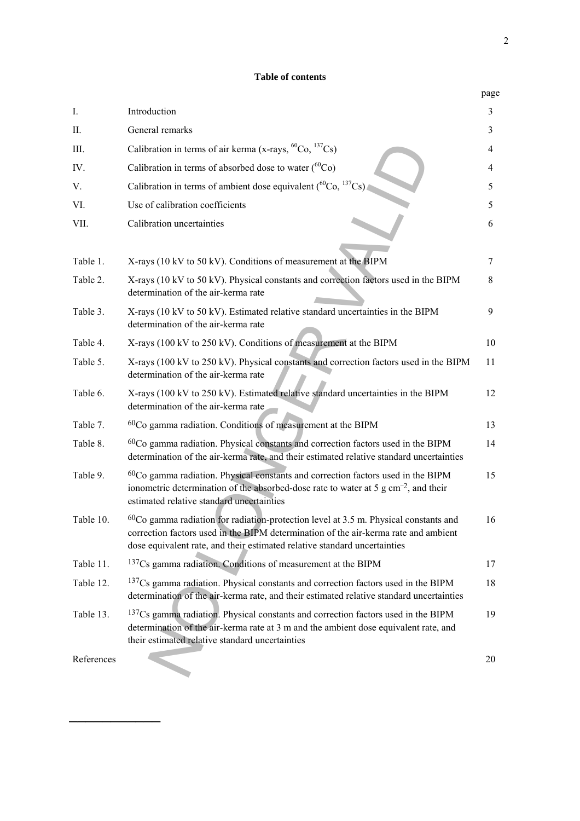## **Table of contents**

|            |                                                                                                                                                                                                                                                            | page |
|------------|------------------------------------------------------------------------------------------------------------------------------------------------------------------------------------------------------------------------------------------------------------|------|
| Ι.         | Introduction                                                                                                                                                                                                                                               | 3    |
| П.         | General remarks                                                                                                                                                                                                                                            | 3    |
| Ш.         | Calibration in terms of air kerma (x-rays, ${}^{60}Co$ , ${}^{137}Cs$ )                                                                                                                                                                                    | 4    |
| IV.        | Calibration in terms of absorbed dose to water $(^{60}Co)$                                                                                                                                                                                                 | 4    |
| V.         | Calibration in terms of ambient dose equivalent ( ${}^{60}Co, {}^{137}Cs$ )                                                                                                                                                                                | 5    |
| VI.        | Use of calibration coefficients                                                                                                                                                                                                                            | 5    |
| VII.       | Calibration uncertainties                                                                                                                                                                                                                                  | 6    |
| Table 1.   | X-rays (10 kV to 50 kV). Conditions of measurement at the BIPM                                                                                                                                                                                             | 7    |
| Table 2.   | X-rays (10 kV to 50 kV). Physical constants and correction factors used in the BIPM<br>determination of the air-kerma rate                                                                                                                                 | 8    |
| Table 3.   | X-rays (10 kV to 50 kV). Estimated relative standard uncertainties in the BIPM<br>determination of the air-kerma rate                                                                                                                                      | 9    |
| Table 4.   | X-rays (100 kV to 250 kV). Conditions of measurement at the BIPM                                                                                                                                                                                           | 10   |
| Table 5.   | X-rays (100 kV to 250 kV). Physical constants and correction factors used in the BIPM<br>determination of the air-kerma rate                                                                                                                               | 11   |
| Table 6.   | X-rays (100 kV to 250 kV). Estimated relative standard uncertainties in the BIPM<br>determination of the air-kerma rate                                                                                                                                    | 12   |
| Table 7.   | $60$ Co gamma radiation. Conditions of measurement at the BIPM                                                                                                                                                                                             | 13   |
| Table 8.   | ${}^{60}Co$ gamma radiation. Physical constants and correction factors used in the BIPM<br>determination of the air-kerma rate, and their estimated relative standard uncertainties                                                                        | 14   |
| Table 9.   | $60Co$ gamma radiation. Physical constants and correction factors used in the BIPM<br>ionometric determination of the absorbed-dose rate to water at 5 g cm <sup>-2</sup> , and their<br>estimated relative standard uncertainties                         | 15   |
| Table 10.  | $60Co$ gamma radiation for radiation-protection level at 3.5 m. Physical constants and<br>correction factors used in the BIPM determination of the air-kerma rate and ambient<br>dose equivalent rate, and their estimated relative standard uncertainties | 16   |
| Table 11.  | <sup>137</sup> Cs gamma radiation. Conditions of measurement at the BIPM                                                                                                                                                                                   | 17   |
| Table 12.  | $137Cs$ gamma radiation. Physical constants and correction factors used in the BIPM<br>determination of the air-kerma rate, and their estimated relative standard uncertainties                                                                            | 18   |
| Table 13.  | $137Cs$ gamma radiation. Physical constants and correction factors used in the BIPM<br>determination of the air-kerma rate at 3 m and the ambient dose equivalent rate, and<br>their estimated relative standard uncertainties                             | 19   |
| References |                                                                                                                                                                                                                                                            | 20   |

───────────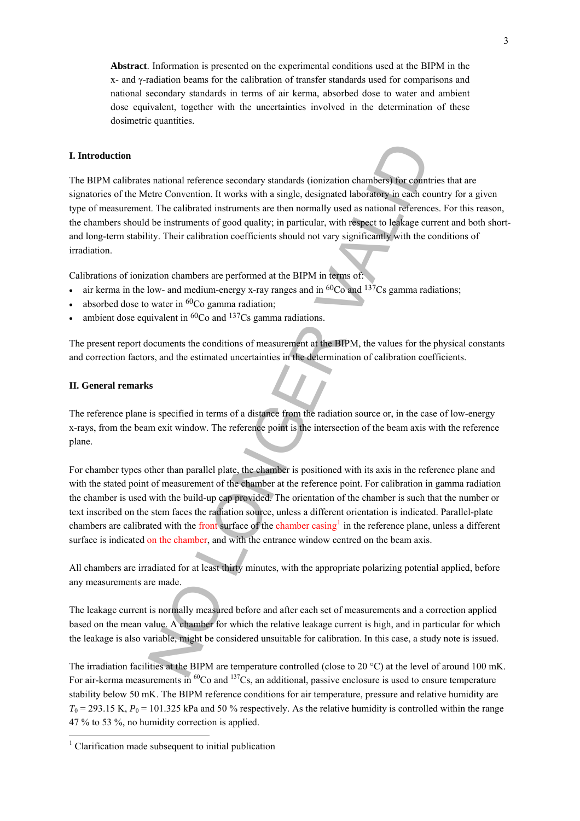**Abstract**. Information is presented on the experimental conditions used at the BIPM in the x- and γ-radiation beams for the calibration of transfer standards used for comparisons and national secondary standards in terms of air kerma, absorbed dose to water and ambient dose equivalent, together with the uncertainties involved in the determination of these dosimetric quantities.

#### **I. Introduction**

The BIPM calibrates national reference secondary standards (ionization chambers) for countries that are signatories of the Metre Convention. It works with a single, designated laboratory in each country for a given type of measurement. The calibrated instruments are then normally used as national references. For this reason, the chambers should be instruments of good quality; in particular, with respect to leakage current and both shortand long-term stability. Their calibration coefficients should not vary significantly with the conditions of irradiation. is national reference secondary standards (ionization chambers) for count<br>tere Convention. It works with a single, designated laboratory in each ce<br>the clositation is transmiss of good quality; in particular, with respect

Calibrations of ionization chambers are performed at the BIPM in terms of:

- air kerma in the low- and medium-energy x-ray ranges and in  ${}^{60}Co$  and  ${}^{137}Cs$  gamma radiations;
- absorbed dose to water in 60Co gamma radiation;
- ambient dose equivalent in  ${}^{60}Co$  and  ${}^{137}Cs$  gamma radiations.

The present report documents the conditions of measurement at the BIPM, the values for the physical constants and correction factors, and the estimated uncertainties in the determination of calibration coefficients.

#### **II. General remarks**

The reference plane is specified in terms of a distance from the radiation source or, in the case of low-energy x-rays, from the beam exit window. The reference point is the intersection of the beam axis with the reference plane.

For chamber types other than parallel plate, the chamber is positioned with its axis in the reference plane and with the stated point of measurement of the chamber at the reference point. For calibration in gamma radiation the chamber is used with the build-up cap provided. The orientation of the chamber is such that the number or text inscribed on the stem faces the radiation source, unless a different orientation is indicated. Parallel-plate chambers are calibrated with the front surface of the chamber casing<sup>1</sup> in the reference plane, unless a different surface is indicated on the chamber, and with the entrance window centred on the beam axis.

All chambers are irradiated for at least thirty minutes, with the appropriate polarizing potential applied, before any measurements are made.

The leakage current is normally measured before and after each set of measurements and a correction applied based on the mean value. A chamber for which the relative leakage current is high, and in particular for which the leakage is also variable, might be considered unsuitable for calibration. In this case, a study note is issued.

The irradiation facilities at the BIPM are temperature controlled (close to 20 °C) at the level of around 100 mK. For air-kerma measurements in <sup>60</sup>Co and <sup>137</sup>Cs, an additional, passive enclosure is used to ensure temperature stability below 50 mK. The BIPM reference conditions for air temperature, pressure and relative humidity are  $T_0$  = 293.15 K,  $P_0$  = 101.325 kPa and 50 % respectively. As the relative humidity is controlled within the range 47 % to 53 %, no humidity correction is applied.

<span id="page-2-0"></span> 1 Clarification made subsequent to initial publication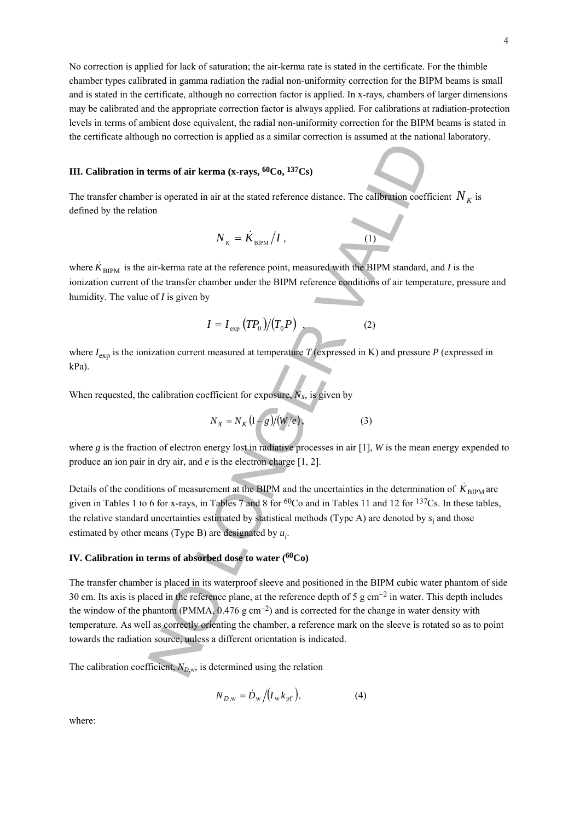No correction is applied for lack of saturation; the air-kerma rate is stated in the certificate. For the thimble chamber types calibrated in gamma radiation the radial non-uniformity correction for the BIPM beams is small and is stated in the certificate, although no correction factor is applied. In x-rays, chambers of larger dimensions may be calibrated and the appropriate correction factor is always applied. For calibrations at radiation-protection levels in terms of ambient dose equivalent, the radial non-uniformity correction for the BIPM beams is stated in the certificate although no correction is applied as a similar correction is assumed at the national laboratory.

## **III. Calibration in terms of air kerma (x-rays, 60Co, 137Cs)**

The transfer chamber is operated in air at the stated reference distance. The calibration coefficient  $N_K$  is defined by the relation

$$
N_{K} = \dot{K}_{\text{BIPM}} / I , \qquad (1)
$$

where  $\dot{K}_{\text{BIPM}}$  is the air-kerma rate at the reference point, measured with the BIPM standard, and *I* is the ionization current of the transfer chamber under the BIPM reference conditions of air temperature, pressure and humidity. The value of *I* is given by

$$
I = I_{\exp} (T P_0) / (T_0 P) \tag{2}
$$

where  $I_{\text{exp}}$  is the ionization current measured at temperature *T* (expressed in K) and pressure *P* (expressed in kPa).

When requested, the calibration coefficient for exposure,  $N_X$ , is given by

$$
N_X = N_K (1 - g)/(W/e),
$$
 (3)

where *g* is the fraction of electron energy lost in radiative processes in air [1], *W* is the mean energy expended to produce an ion pair in dry air, and *e* is the electron charge [1, 2].

Details of the conditions of measurement at the BIPM and the uncertainties in the determination of  $\dot{K}_{\text{BIPM}}$  are given in Tables 1 to 6 for x-rays, in Tables 7 and 8 for <sup>60</sup>Co and in Tables 11 and 12 for <sup>137</sup>Cs. In these tables, the relative standard uncertainties estimated by statistical methods (Type A) are denoted by  $s_i$  and those estimated by other means (Type B) are designated by  $u_i$ .

## **IV. Calibration in terms of absorbed dose to water (60Co)**

The transfer chamber is placed in its waterproof sleeve and positioned in the BIPM cubic water phantom of side 30 cm. Its axis is placed in the reference plane, at the reference depth of 5 g cm−2 in water. This depth includes the window of the phantom (PMMA,  $0.476$  g cm<sup>-2</sup>) and is corrected for the change in water density with temperature. As well as correctly orienting the chamber, a reference mark on the sleeve is rotated so as to point towards the radiation source, unless a different orientation is indicated. Figure 1.1 The set of the state of the state of the calibration coefficient of the state of the state of the state of the state and the state of the state of the state of the state of the state of the state of the state o

The calibration coefficient,  $N_{D,w}$ , is determined using the relation

$$
N_{D,\text{w}} = \dot{D}_{\text{w}} / (I_{\text{w}} k_{\text{pf}}),\tag{4}
$$

where: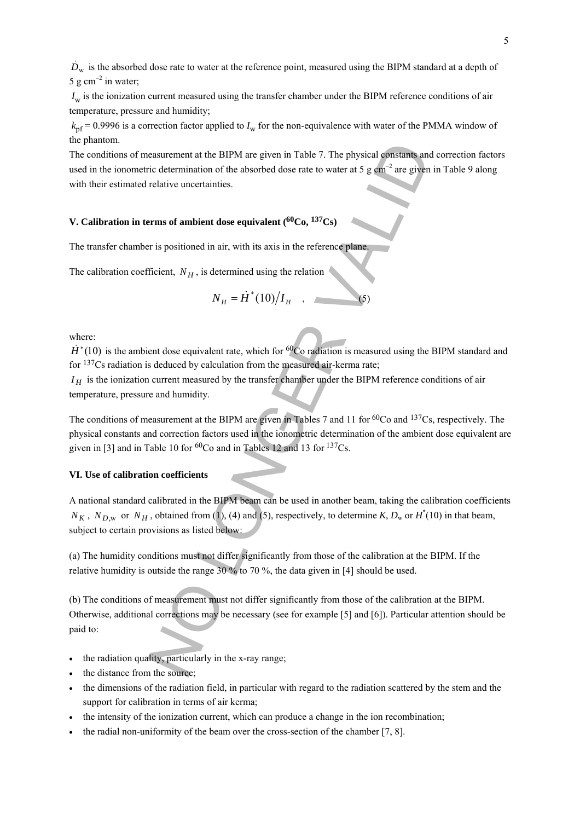$\dot{D}_{\rm w}$  is the absorbed dose rate to water at the reference point, measured using the BIPM standard at a depth of 5 g cm<sup>-2</sup> in water;

*I<sub>w</sub>* is the ionization current measured using the transfer chamber under the BIPM reference conditions of air temperature, pressure and humidity;

 $k<sub>pf</sub> = 0.9996$  is a correction factor applied to  $I<sub>w</sub>$  for the non-equivalence with water of the PMMA window of the phantom.

The conditions of measurement at the BIPM are given in Table 7. The physical constants and correction factors used in the ionometric determination of the absorbed dose rate to water at 5 g  $cm^{-2}$  are given in Table 9 along with their estimated relative uncertainties.

## **V. Calibration in terms of ambient dose equivalent (60Co, 137Cs)**

The transfer chamber is positioned in air, with its axis in the reference plane.

The calibration coefficient,  $N_H$ , is determined using the relation

$$
N_H = \dot{H}^*(10)/I_H \quad , \quad \textbf{(5)}
$$

where:

 $\dot{H}^*(10)$  is the ambient dose equivalent rate, which for <sup>60</sup>Co radiation is measured using the BIPM standard and for 137Cs radiation is deduced by calculation from the measured air-kerma rate;

 $I_H$  is the ionization current measured by the transfer chamber under the BIPM reference conditions of air temperature, pressure and humidity.

The conditions of measurement at the BIPM are given in Tables 7 and 11 for <sup>60</sup>Co and <sup>137</sup>Cs, respectively. The physical constants and correction factors used in the ionometric determination of the ambient dose equivalent are given in [3] and in Table 10 for  ${}^{60}Co$  and in Tables 12 and 13 for  ${}^{137}Cs$ .

#### **VI. Use of calibration coefficients**

A national standard calibrated in the BIPM beam can be used in another beam, taking the calibration coefficients  $N_K$ ,  $N_{D,w}$  or  $N_H$ , obtained from (1), (4) and (5), respectively, to determine *K*,  $D_w$  or  $H^*(10)$  in that beam, subject to certain provisions as listed below:

(a) The humidity conditions must not differ significantly from those of the calibration at the BIPM. If the relative humidity is outside the range 30 % to 70 %, the data given in [4] should be used.

(b) The conditions of measurement must not differ significantly from those of the calibration at the BIPM. Otherwise, additional corrections may be necessary (see for example [5] and [6]). Particular attention should be paid to: easurement at the BIPM are given in Table 7. The physical constants and<br>cic determination of the absorbed dose rate to water at 5 g cm<sup>-2</sup> are given<br>relative uncertainties.<br>Firms of ambient dose equivalent (<sup>60</sup>Co, <sup>137</sup>C

- the radiation quality, particularly in the x-ray range;
- the distance from the source;
- the dimensions of the radiation field, in particular with regard to the radiation scattered by the stem and the support for calibration in terms of air kerma;
- the intensity of the ionization current, which can produce a change in the ion recombination;
- the radial non-uniformity of the beam over the cross-section of the chamber [7, 8].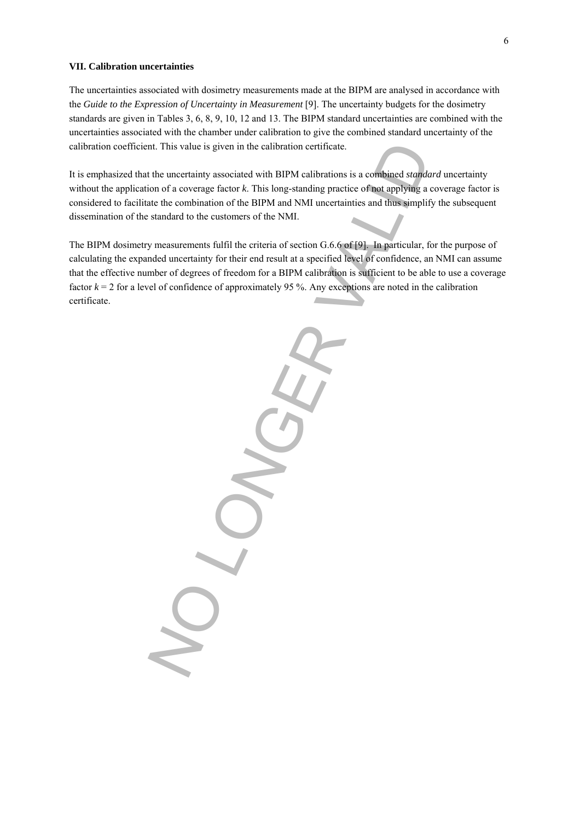#### **VII. Calibration uncertainties**

The uncertainties associated with dosimetry measurements made at the BIPM are analysed in accordance with the *Guide to the Expression of Uncertainty in Measurement* [9]. The uncertainty budgets for the dosimetry standards are given in Tables 3, 6, 8, 9, 10, 12 and 13. The BIPM standard uncertainties are combined with the uncertainties associated with the chamber under calibration to give the combined standard uncertainty of the calibration coefficient. This value is given in the calibration certificate.

It is emphasized that the uncertainty associated with BIPM calibrations is a combined *standard* uncertainty without the application of a coverage factor *k*. This long-standing practice of not applying a coverage factor is considered to facilitate the combination of the BIPM and NMI uncertainties and thus simplify the subsequent dissemination of the standard to the customers of the NMI.

The BIPM dosimetry measurements fulfil the criteria of section G.6.6 of [9]. In particular, for the purpose of calculating the expanded uncertainty for their end result at a specified level of confidence, an NMI can assume that the effective number of degrees of freedom for a BIPM calibration is sufficient to be able to use a coverage factor  $k = 2$  for a level of confidence of approximately 95 %. Any exceptions are noted in the calibration certificate.

nt. This value is given in the calibration certificate.<br>
the uncertainty associated with BIPM calibrations is a combined standard on of a coverage factor k. This long-standing practice of not applying a.<br>
standard to the c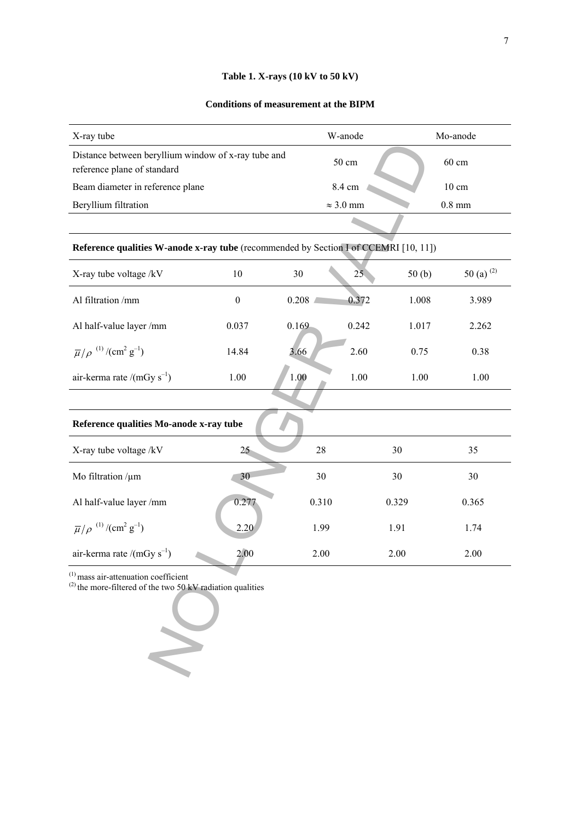## **Table 1. X-rays (10 kV to 50 kV)**

#### **Conditions of measurement at the BIPM**

| X-ray tube                                                                         | W-anode          | Mo-anode        |
|------------------------------------------------------------------------------------|------------------|-----------------|
| Distance between beryllium window of x-ray tube and<br>reference plane of standard | $50 \text{ cm}$  | $60 \text{ cm}$ |
| Beam diameter in reference plane                                                   | 8.4 cm           | $10 \text{ cm}$ |
| Beryllium filtration                                                               | $\approx$ 3.0 mm | $0.8$ mm        |
|                                                                                    |                  |                 |

## **Reference qualities W-anode x-ray tube** (recommended by Section I of CCEMRI [10, 11])

| X-ray tube voltage /kV                                                   | 10             | 30    | 25    | 50(b) | 50 (a) $^{(2)}$ |
|--------------------------------------------------------------------------|----------------|-------|-------|-------|-----------------|
| Al filtration /mm                                                        | $\overline{0}$ | 0.208 | 0.372 | 1.008 | 3.989           |
| Al half-value layer/mm                                                   | 0.037          | 0.169 | 0.242 | 1.017 | 2.262           |
| $\overline{\mu}/\rho$ <sup>(1)</sup> /(cm <sup>2</sup> g <sup>-1</sup> ) | 14.84          | 3.66  | 2.60  | 0.75  | 0.38            |
| air-kerma rate /(mGy $s^{-1}$ )                                          | 1.00           | 1.00  | 1.00  | 1.00  | 1.00            |
|                                                                          |                |       |       |       |                 |

| Distance between beryllium window of x-ray tube and<br>reference plane of standard                           |                  |       | 50 cm            |       | 60 cm           |  |
|--------------------------------------------------------------------------------------------------------------|------------------|-------|------------------|-------|-----------------|--|
| Beam diameter in reference plane                                                                             |                  |       | 8.4 cm           |       | $10 \text{ cm}$ |  |
| Beryllium filtration                                                                                         |                  |       | $\approx 3.0$ mm |       | $0.8$ mm        |  |
|                                                                                                              |                  |       |                  |       |                 |  |
| Reference qualities W-anode x-ray tube (recommended by Section I of CCEMRI [10, 11])                         |                  |       |                  |       |                 |  |
| X-ray tube voltage /kV                                                                                       | $10\,$           | 30    | 25               | 50(b) | 50 (a) $^{(2)}$ |  |
| Al filtration /mm                                                                                            | $\boldsymbol{0}$ | 0.208 | 0.372            | 1.008 | 3.989           |  |
| Al half-value layer /mm                                                                                      | 0.037            | 0.169 | 0.242            | 1.017 | 2.262           |  |
| $\overline{\mu}/\rho$ <sup>(1)</sup> /(cm <sup>2</sup> g <sup>-1</sup> )                                     | 14.84            | 3.66  | 2.60             | 0.75  | 0.38            |  |
| air-kerma rate /(mGy $s^{-1}$ )                                                                              | 1.00             | 1.00  | $1.00\,$         | 1.00  | 1.00            |  |
|                                                                                                              |                  |       |                  |       |                 |  |
| Reference qualities Mo-anode x-ray tube                                                                      |                  |       |                  |       |                 |  |
| X-ray tube voltage /kV                                                                                       | $25 -$           | 28    |                  | 30    | 35              |  |
| Mo filtration $/\mu$ m                                                                                       | 30               | 30    |                  | 30    | 30              |  |
| Al half-value layer /mm                                                                                      | 0.277            | 0.310 |                  | 0.329 | 0.365           |  |
| $\overline{\mu}/\rho$ <sup>(1)</sup> /(cm <sup>2</sup> g <sup>-1</sup> )                                     | 2.20             | 1.99  |                  | 1.91  | 1.74            |  |
| air-kerma rate /(mGy $s^{-1}$ )                                                                              | 2.00             | 2.00  |                  | 2.00  | 2.00            |  |
| $^{(1)}$ mass air-attenuation coefficient<br>$^{(2)}$ the more-filtered of the two 50 kV radiation qualities |                  |       |                  |       |                 |  |
|                                                                                                              |                  |       |                  |       |                 |  |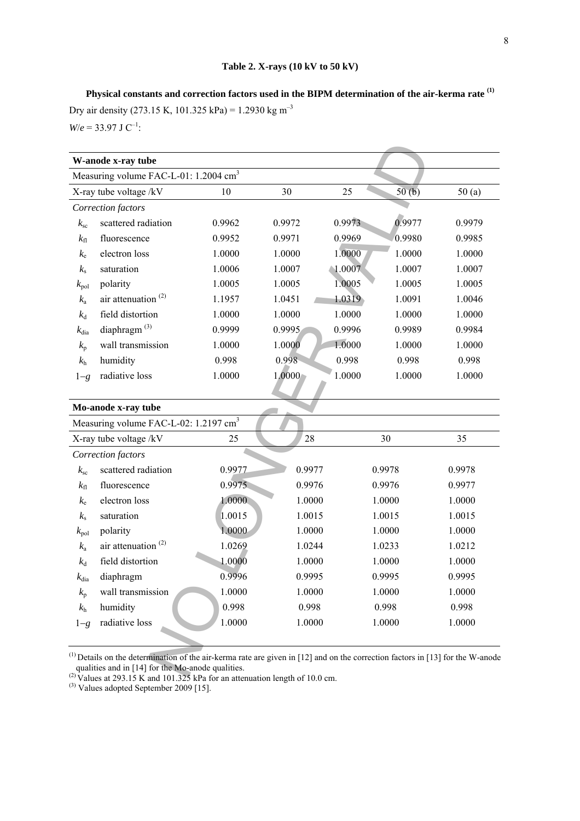**Physical constants and correction factors used in the BIPM determination of the air-kerma rate (1)** Dry air density (273.15 K, 101.325 kPa) = 1.2930 kg m<sup>-3</sup>  $W/e = 33.97$  J C<sup>-1</sup>:

|                  | Measuring volume FAC-L-01: 1.2004 cm <sup>3</sup> |        |        |                 |        |        |
|------------------|---------------------------------------------------|--------|--------|-----------------|--------|--------|
|                  | X-ray tube voltage /kV                            | 10     | 30     | 25              | 50(b)  | 50(a)  |
|                  | Correction factors                                |        |        |                 |        |        |
| $k_{\rm sc}$     | scattered radiation                               | 0.9962 | 0.9972 | 0.9973          | 0.9977 | 0.9979 |
| $k_{\rm fl}$     | fluorescence                                      | 0.9952 | 0.9971 | 0.9969          | 0.9980 | 0.9985 |
| $k_{e}$          | electron loss                                     | 1.0000 | 1.0000 | 1.0000          | 1.0000 | 1.0000 |
| $k_{\rm s}$      | saturation                                        | 1.0006 | 1.0007 | $\sqrt{1.0007}$ | 1.0007 | 1.0007 |
| $k_{\rm pol}$    | polarity                                          | 1.0005 | 1.0005 | 1.0005          | 1.0005 | 1.0005 |
| $k_{\rm a}$      | air attenuation <sup>(2)</sup>                    | 1.1957 | 1.0451 | 1.0319          | 1.0091 | 1.0046 |
| $k_d$            | field distortion                                  | 1.0000 | 1.0000 | 1.0000          | 1.0000 | 1.0000 |
| $k_{\text{dia}}$ | diaphragm <sup>(3)</sup>                          | 0.9999 | 0.9995 | 0.9996          | 0.9989 | 0.9984 |
| $k_{p}$          | wall transmission                                 | 1.0000 | 1.0000 | 1.0000          | 1.0000 | 1.0000 |
| $k_{\rm h}$      | humidity                                          | 0.998  | 0.998  | 0.998           | 0.998  | 0.998  |
| $1-g$            | radiative loss                                    | 1.0000 | 1.0000 | 1.0000          | 1.0000 | 1.0000 |
|                  |                                                   |        |        |                 |        |        |
|                  | Mo-anode x-ray tube                               |        |        |                 |        |        |
|                  | Measuring volume FAC-L-02: 1.2197 cm <sup>3</sup> |        |        |                 |        |        |
|                  | X-ray tube voltage /kV                            | 25     | 28     |                 | 30     | 35     |
|                  | Correction factors                                |        |        |                 |        |        |
| $k_{\rm sc}$     | scattered radiation                               | 0.9977 | 0.9977 |                 | 0.9978 | 0.9978 |
| $k_{\rm fl}$     | fluorescence                                      | 0.9975 | 0.9976 |                 | 0.9976 | 0.9977 |
| $k_{\rm e}$      | electron loss                                     | 1.0000 | 1.0000 |                 | 1.0000 | 1.0000 |
| $k_{\rm s}$      | saturation                                        | 1.0015 | 1.0015 |                 | 1.0015 | 1.0015 |
| $k_{\rm pol}$    | polarity                                          | 1.0000 | 1.0000 |                 | 1.0000 | 1.0000 |
| $k_{\rm a}$      | air attenuation $(2)$                             | 1.0269 | 1.0244 |                 | 1.0233 | 1.0212 |
| $k_d$            | field distortion                                  | 1.0000 | 1.0000 |                 | 1.0000 | 1.0000 |
| $k_{\text{dia}}$ | diaphragm                                         | 0.9996 | 0.9995 |                 | 0.9995 | 0.9995 |
| $k_{p}$          | wall transmission                                 | 1.0000 | 1.0000 |                 | 1.0000 | 1.0000 |
| $k_{\rm h}$      | humidity                                          | 0.998  | 0.998  |                 | 0.998  | 0.998  |
| $1-g$            | radiative loss                                    | 1.0000 | 1.0000 |                 | 1.0000 | 1.0000 |
|                  |                                                   |        |        |                 |        |        |

<sup>(2)</sup> Values at 293.15 K and 101.325 kPa for an attenuation length of 10.0 cm.

 $^{(3)}$  Values adopted September 2009 [15].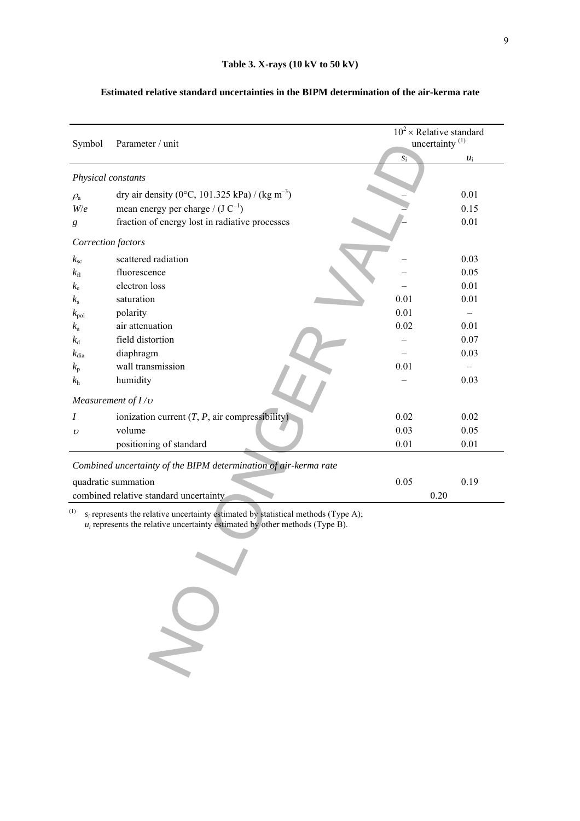| Symbol             | Parameter / unit                                                                                                                                                       | $10^2 \times$ Relative standard<br>uncertainty <sup>(1)</sup> |       |  |
|--------------------|------------------------------------------------------------------------------------------------------------------------------------------------------------------------|---------------------------------------------------------------|-------|--|
|                    |                                                                                                                                                                        | $S_1^-$                                                       | $u_i$ |  |
| Physical constants |                                                                                                                                                                        |                                                               |       |  |
| $\rho_{\rm a}$     | dry air density (0°C, 101.325 kPa) / (kg m <sup>-3</sup> )                                                                                                             |                                                               | 0.01  |  |
| W/e                | mean energy per charge / $(J C^{-1})$                                                                                                                                  |                                                               | 0.15  |  |
| g                  | fraction of energy lost in radiative processes                                                                                                                         |                                                               | 0.01  |  |
| Correction factors |                                                                                                                                                                        |                                                               |       |  |
| $k_{\rm sc}$       | scattered radiation                                                                                                                                                    |                                                               | 0.03  |  |
| $k_{\rm fl}$       | fluorescence                                                                                                                                                           |                                                               | 0.05  |  |
| $k_{\rm e}$        | electron loss                                                                                                                                                          |                                                               | 0.01  |  |
| $k_{\rm s}$        | saturation                                                                                                                                                             | 0.01                                                          | 0.01  |  |
| $k_{\rm pol}$      | polarity                                                                                                                                                               | 0.01                                                          |       |  |
| $k_{\rm a}$        | air attenuation                                                                                                                                                        | 0.02                                                          | 0.01  |  |
| $k_{\rm d}$        | field distortion                                                                                                                                                       |                                                               | 0.07  |  |
| $k_{\text{dia}}$   | diaphragm                                                                                                                                                              |                                                               | 0.03  |  |
| $k_{p}$            | wall transmission                                                                                                                                                      | 0.01                                                          |       |  |
| $k_{\rm h}$        | humidity                                                                                                                                                               |                                                               | 0.03  |  |
|                    | Measurement of $I/v$                                                                                                                                                   |                                                               |       |  |
| Ι                  | ionization current $(T, P, \text{air compressibility})$                                                                                                                | 0.02                                                          | 0.02  |  |
| $\upsilon$         | volume                                                                                                                                                                 | 0.03                                                          | 0.05  |  |
|                    | positioning of standard                                                                                                                                                | 0.01                                                          | 0.01  |  |
|                    | Combined uncertainty of the BIPM determination of air-kerma rate                                                                                                       |                                                               |       |  |
|                    | quadratic summation                                                                                                                                                    | 0.05                                                          | 0.19  |  |
|                    | combined relative standard uncertainty                                                                                                                                 | 0.20                                                          |       |  |
| (1)                | $s_i$ represents the relative uncertainty estimated by statistical methods (Type A);<br>$u_i$ represents the relative uncertainty estimated by other methods (Type B). |                                                               |       |  |
|                    |                                                                                                                                                                        |                                                               |       |  |
|                    |                                                                                                                                                                        |                                                               |       |  |
|                    |                                                                                                                                                                        |                                                               |       |  |
|                    |                                                                                                                                                                        |                                                               |       |  |

## **Estimated relative standard uncertainties in the BIPM determination of the air-kerma rate**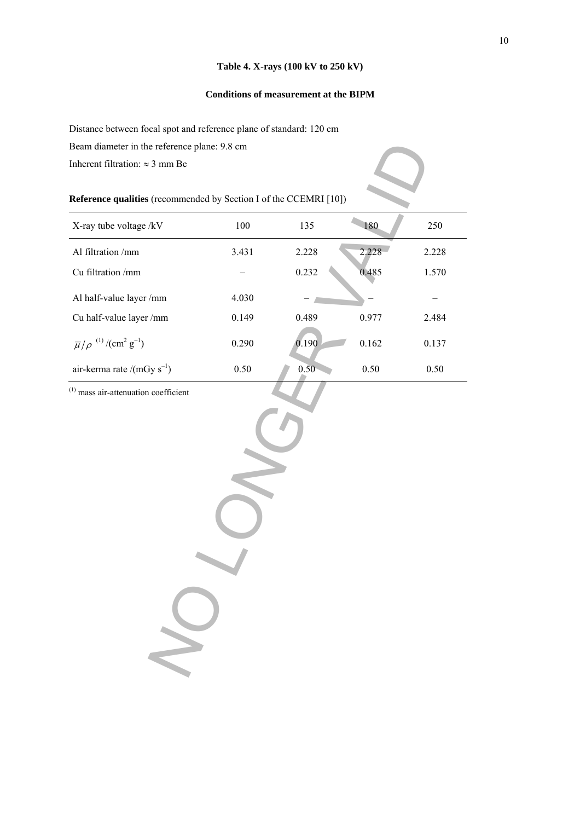## **Table 4. X-rays (100 kV to 250 kV)**

## **Conditions of measurement at the BIPM**

Distance between focal spot and reference plane of standard: 120 cm

Beam diameter in the reference plane: 9.8 cm

## **Reference qualities** (recommended by Section I of the CCEMRI [10])

| Beam diameter in the reference plane: 9.8 cm                             |       |       |          |       |
|--------------------------------------------------------------------------|-------|-------|----------|-------|
| Inherent filtration: $\approx$ 3 mm Be                                   |       |       |          |       |
| Reference qualities (recommended by Section I of the CCEMRI [10])        |       |       |          |       |
| X-ray tube voltage /kV                                                   | 100   | 135   | 180      | 250   |
| Al filtration /mm                                                        | 3.431 | 2.228 | 2,228    | 2.228 |
| Cu filtration /mm                                                        |       | 0.232 | 0.485    | 1.570 |
| Al half-value layer /mm                                                  | 4.030 |       |          |       |
| Cu half-value layer /mm                                                  | 0.149 | 0.489 | 0.977    | 2.484 |
| $\overline{\mu}/\rho$ <sup>(1)</sup> /(cm <sup>2</sup> g <sup>-1</sup> ) | 0.290 | 0.190 | 0.162    | 0.137 |
| air-kerma rate /(mGy $s^{-1}$ )                                          | 0.50  | 0.50  | $0.50\,$ | 0.50  |
|                                                                          |       |       |          |       |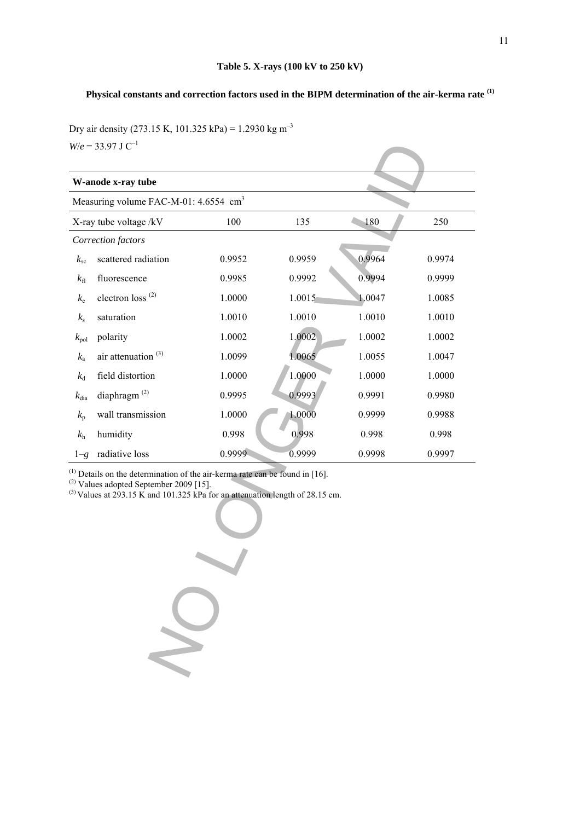## **Physical constants and correction factors used in the BIPM determination of the air-kerma rate (1)**

Dry air density (273.15 K, 101.325 kPa) = 1.2930 kg m<sup>-3</sup> *W*/ $e = 33.97$  J C<sup>-1</sup>

|                                                                                                                                                                                                                               | $W/e = 33.97$ J C <sup>-1</sup>                   |        |        |        |        |  |  |
|-------------------------------------------------------------------------------------------------------------------------------------------------------------------------------------------------------------------------------|---------------------------------------------------|--------|--------|--------|--------|--|--|
|                                                                                                                                                                                                                               | W-anode x-ray tube                                |        |        |        |        |  |  |
|                                                                                                                                                                                                                               | Measuring volume FAC-M-01: 4.6554 cm <sup>3</sup> |        |        |        |        |  |  |
|                                                                                                                                                                                                                               | X-ray tube voltage /kV                            | 100    | 135    | 180    | 250    |  |  |
|                                                                                                                                                                                                                               | Correction factors                                |        |        |        |        |  |  |
| $k_{\rm sc}$                                                                                                                                                                                                                  | scattered radiation                               | 0.9952 | 0.9959 | 0.9964 | 0.9974 |  |  |
| $k_{\rm fl}$                                                                                                                                                                                                                  | fluorescence                                      | 0.9985 | 0.9992 | 0.9994 | 0.9999 |  |  |
| $k_{\rm e}$                                                                                                                                                                                                                   | electron loss <sup>(2)</sup>                      | 1.0000 | 1.0015 | 1.0047 | 1.0085 |  |  |
| $k_{\rm s}$                                                                                                                                                                                                                   | saturation                                        | 1.0010 | 1.0010 | 1.0010 | 1.0010 |  |  |
| $k_{\rm pol}$                                                                                                                                                                                                                 | polarity                                          | 1.0002 | 1.0002 | 1.0002 | 1.0002 |  |  |
| $k_{\rm a}$                                                                                                                                                                                                                   | air attenuation <sup>(3)</sup>                    | 1.0099 | 1.0065 | 1.0055 | 1.0047 |  |  |
| $k_{\rm d}$                                                                                                                                                                                                                   | field distortion                                  | 1.0000 | 1.0000 | 1.0000 | 1.0000 |  |  |
| $k_{\text{dia}}$                                                                                                                                                                                                              | diaphragm $^{(2)}$                                | 0.9995 | 0.9993 | 0.9991 | 0.9980 |  |  |
| $k_{p}$                                                                                                                                                                                                                       | wall transmission                                 | 1.0000 | 1.0000 | 0.9999 | 0.9988 |  |  |
| $k_{\rm h}$                                                                                                                                                                                                                   | humidity                                          | 0.998  | 0.998  | 0.998  | 0.998  |  |  |
| $1-g$                                                                                                                                                                                                                         | radiative loss                                    | 0.9999 | 0.9999 | 0.9998 | 0.9997 |  |  |
| $^{(1)}$ Details on the determination of the air-kerma rate can be found in [16].<br>$^{(2)}$ Values adopted September 2009 [15].<br><sup>(3)</sup> Values at 293.15 K and 101.325 kPa for an attenuation length of 28.15 cm. |                                                   |        |        |        |        |  |  |
|                                                                                                                                                                                                                               |                                                   |        |        |        |        |  |  |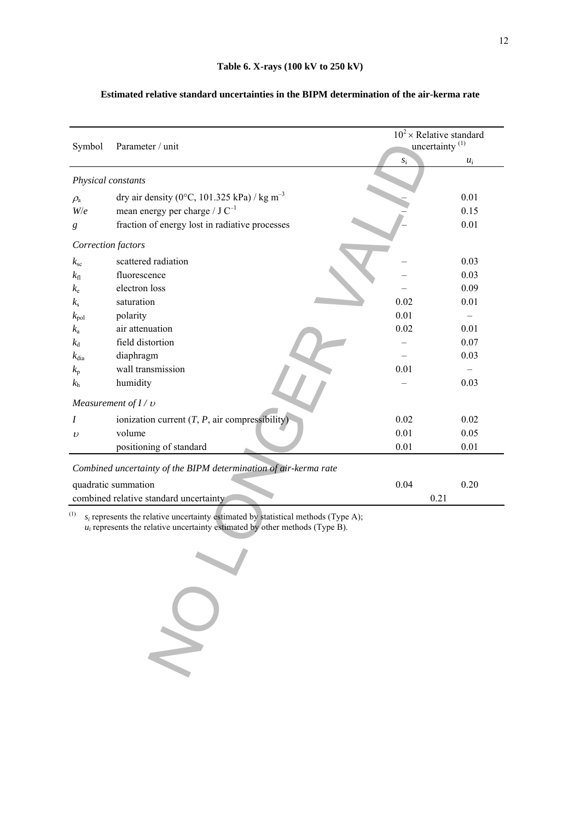| Symbol             | Parameter / unit                                                                                                                                                       |       | $10^2 \times$ Relative standard<br>uncertainty <sup>(1)</sup> |
|--------------------|------------------------------------------------------------------------------------------------------------------------------------------------------------------------|-------|---------------------------------------------------------------|
|                    |                                                                                                                                                                        | $S_1$ | $u_i$                                                         |
| Physical constants |                                                                                                                                                                        |       |                                                               |
| $\rho_{\rm a}$     | dry air density (0°C, 101.325 kPa) / kg m <sup>-3</sup>                                                                                                                |       | 0.01                                                          |
| W/e                | mean energy per charge / $J C^{-1}$                                                                                                                                    |       | 0.15                                                          |
| g                  | fraction of energy lost in radiative processes                                                                                                                         |       | 0.01                                                          |
| Correction factors |                                                                                                                                                                        |       |                                                               |
| $k_{\rm sc}$       | scattered radiation                                                                                                                                                    |       | 0.03                                                          |
| $k_{\rm fl}$       | fluorescence                                                                                                                                                           |       | 0.03                                                          |
| $k_{\rm e}$        | electron loss                                                                                                                                                          |       | 0.09                                                          |
| $k_{\rm s}$        | saturation                                                                                                                                                             | 0.02  | 0.01                                                          |
| $k_{\rm pol}$      | polarity                                                                                                                                                               | 0.01  |                                                               |
| $k_{\rm a}$        | air attenuation                                                                                                                                                        | 0.02  | 0.01                                                          |
| $k_{\rm d}$        | field distortion                                                                                                                                                       |       | 0.07                                                          |
| $k_{\text{dia}}$   | diaphragm                                                                                                                                                              |       | 0.03                                                          |
| $k_{\rm p}$        | wall transmission                                                                                                                                                      | 0.01  |                                                               |
| $k_{\rm h}$        | humidity                                                                                                                                                               |       | 0.03                                                          |
|                    | Measurement of $I / v$                                                                                                                                                 |       |                                                               |
| I                  | ionization current $(T, P, \text{air compressibility})$                                                                                                                | 0.02  | 0.02                                                          |
| $\upsilon$         | volume                                                                                                                                                                 | 0.01  | 0.05                                                          |
|                    | positioning of standard                                                                                                                                                | 0.01  | 0.01                                                          |
|                    | Combined uncertainty of the BIPM determination of air-kerma rate                                                                                                       |       |                                                               |
|                    | quadratic summation                                                                                                                                                    | 0.04  | 0.20                                                          |
|                    | combined relative standard uncertainty                                                                                                                                 |       | 0.21                                                          |
| (1)                | $s_i$ represents the relative uncertainty estimated by statistical methods (Type A);<br>$u_i$ represents the relative uncertainty estimated by other methods (Type B). |       |                                                               |
|                    |                                                                                                                                                                        |       |                                                               |
|                    |                                                                                                                                                                        |       |                                                               |
|                    |                                                                                                                                                                        |       |                                                               |
|                    |                                                                                                                                                                        |       |                                                               |

## **Estimated relative standard uncertainties in the BIPM determination of the air-kerma rate**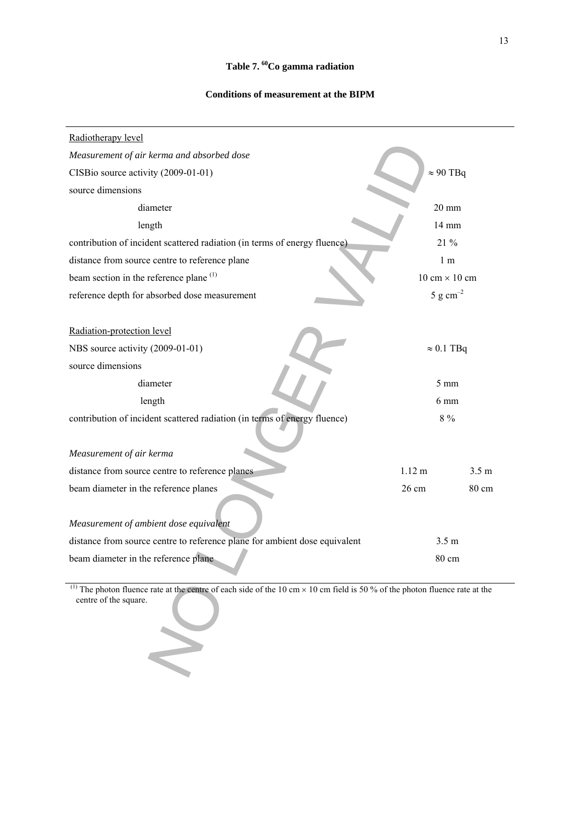## **Conditions of measurement at the BIPM**

| Radiotherapy level                                                                                                                                                       |                                      |                  |
|--------------------------------------------------------------------------------------------------------------------------------------------------------------------------|--------------------------------------|------------------|
| Measurement of air kerma and absorbed dose                                                                                                                               |                                      |                  |
| CISBio source activity (2009-01-01)                                                                                                                                      | $\approx 90$ TBq                     |                  |
| source dimensions                                                                                                                                                        |                                      |                  |
| diameter                                                                                                                                                                 | $20 \text{ mm}$                      |                  |
| length                                                                                                                                                                   | 14 mm                                |                  |
| contribution of incident scattered radiation (in terms of energy fluence)                                                                                                | 21 %                                 |                  |
| distance from source centre to reference plane                                                                                                                           | 1 <sub>m</sub>                       |                  |
| beam section in the reference plane <sup>(1)</sup>                                                                                                                       | $10 \text{ cm} \times 10 \text{ cm}$ |                  |
| reference depth for absorbed dose measurement                                                                                                                            | 5 g $cm^{-2}$                        |                  |
| Radiation-protection level                                                                                                                                               |                                      |                  |
| NBS source activity (2009-01-01)                                                                                                                                         | $\approx 0.1$ TBq                    |                  |
| source dimensions                                                                                                                                                        |                                      |                  |
| diameter                                                                                                                                                                 | $5 \text{ mm}$                       |                  |
| length                                                                                                                                                                   | 6 mm                                 |                  |
| contribution of incident scattered radiation (in terms of energy fluence)                                                                                                | $8\ \%$                              |                  |
| Measurement of air kerma                                                                                                                                                 |                                      |                  |
| distance from source centre to reference planes                                                                                                                          | $1.12 \text{ m}$                     | 3.5 <sub>m</sub> |
| beam diameter in the reference planes                                                                                                                                    | 26 cm                                | 80 cm            |
| Measurement of ambient dose equivalent                                                                                                                                   |                                      |                  |
| distance from source centre to reference plane for ambient dose equivalent                                                                                               | 3.5 <sub>m</sub>                     |                  |
| beam diameter in the reference plane                                                                                                                                     | 80 cm                                |                  |
| The photon fluence rate at the centre of each side of the 10 cm $\times$ 10 cm field is 50 % of the photon fluence rate at the<br>centre of the square.<br>$\rightarrow$ |                                      |                  |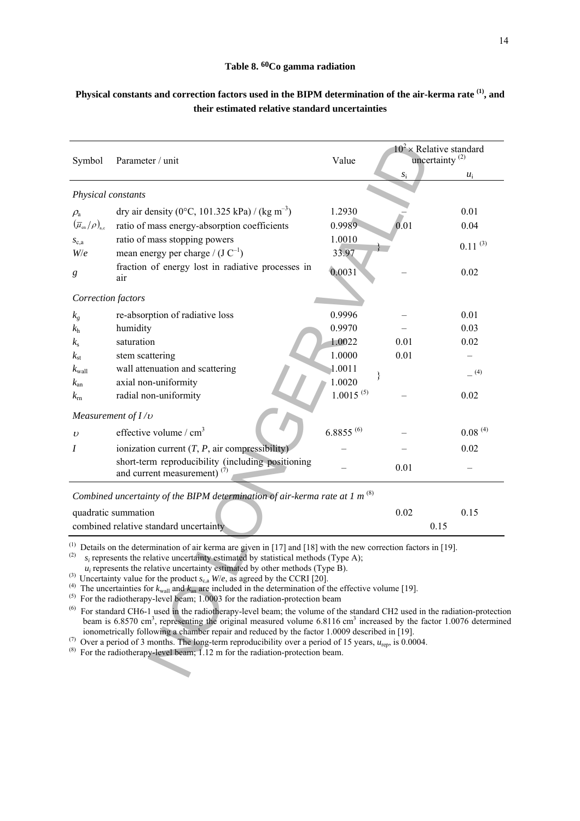#### **Table 8. 60Co gamma radiation**

| Symbol                                                                      | Parameter / unit                                                                                                                                                                                                                                                                                                                                                                                                                                                                                                                                                                                                                                                                                                                                                                                                                                                                                                                                                                                                                                                                                                                                                                                 | Value           |             | $10^2 \times$ Relative standard<br>uncertainty <sup>(2)</sup> |
|-----------------------------------------------------------------------------|--------------------------------------------------------------------------------------------------------------------------------------------------------------------------------------------------------------------------------------------------------------------------------------------------------------------------------------------------------------------------------------------------------------------------------------------------------------------------------------------------------------------------------------------------------------------------------------------------------------------------------------------------------------------------------------------------------------------------------------------------------------------------------------------------------------------------------------------------------------------------------------------------------------------------------------------------------------------------------------------------------------------------------------------------------------------------------------------------------------------------------------------------------------------------------------------------|-----------------|-------------|---------------------------------------------------------------|
|                                                                             |                                                                                                                                                                                                                                                                                                                                                                                                                                                                                                                                                                                                                                                                                                                                                                                                                                                                                                                                                                                                                                                                                                                                                                                                  |                 | $s_{\rm i}$ | $u_i$                                                         |
| Physical constants                                                          |                                                                                                                                                                                                                                                                                                                                                                                                                                                                                                                                                                                                                                                                                                                                                                                                                                                                                                                                                                                                                                                                                                                                                                                                  |                 |             |                                                               |
| $\rho_{\rm a}$                                                              | dry air density (0°C, 101.325 kPa) / (kg m <sup>-3</sup> )                                                                                                                                                                                                                                                                                                                                                                                                                                                                                                                                                                                                                                                                                                                                                                                                                                                                                                                                                                                                                                                                                                                                       | 1.2930          |             | 0.01                                                          |
| $\left(\overline{\mu}_{\textrm{\tiny en}}/\rho\right)_{\textrm{\tiny a,c}}$ | ratio of mass energy-absorption coefficients                                                                                                                                                                                                                                                                                                                                                                                                                                                                                                                                                                                                                                                                                                                                                                                                                                                                                                                                                                                                                                                                                                                                                     | 0.9989          | 0.01        | 0.04                                                          |
| $S_{c,a}$<br>W/e                                                            | ratio of mass stopping powers<br>mean energy per charge / $(J C^{-1})$                                                                                                                                                                                                                                                                                                                                                                                                                                                                                                                                                                                                                                                                                                                                                                                                                                                                                                                                                                                                                                                                                                                           | 1.0010<br>33.97 |             | $0.11^{(3)}$                                                  |
| g                                                                           | fraction of energy lost in radiative processes in<br>air                                                                                                                                                                                                                                                                                                                                                                                                                                                                                                                                                                                                                                                                                                                                                                                                                                                                                                                                                                                                                                                                                                                                         | 0.0031          |             | 0.02                                                          |
| Correction factors                                                          |                                                                                                                                                                                                                                                                                                                                                                                                                                                                                                                                                                                                                                                                                                                                                                                                                                                                                                                                                                                                                                                                                                                                                                                                  |                 |             |                                                               |
| $k_{g}$                                                                     | re-absorption of radiative loss                                                                                                                                                                                                                                                                                                                                                                                                                                                                                                                                                                                                                                                                                                                                                                                                                                                                                                                                                                                                                                                                                                                                                                  | 0.9996          |             | 0.01                                                          |
| $k_{\rm h}$                                                                 | humidity                                                                                                                                                                                                                                                                                                                                                                                                                                                                                                                                                                                                                                                                                                                                                                                                                                                                                                                                                                                                                                                                                                                                                                                         | 0.9970          |             | 0.03                                                          |
| $k_{\rm s}$                                                                 | saturation                                                                                                                                                                                                                                                                                                                                                                                                                                                                                                                                                                                                                                                                                                                                                                                                                                                                                                                                                                                                                                                                                                                                                                                       | 1.0022          | 0.01        | 0.02                                                          |
| $k_{\rm st}$                                                                | stem scattering                                                                                                                                                                                                                                                                                                                                                                                                                                                                                                                                                                                                                                                                                                                                                                                                                                                                                                                                                                                                                                                                                                                                                                                  | 1.0000          | 0.01        |                                                               |
| $k_{\text{wall}}$                                                           | wall attenuation and scattering                                                                                                                                                                                                                                                                                                                                                                                                                                                                                                                                                                                                                                                                                                                                                                                                                                                                                                                                                                                                                                                                                                                                                                  | 1.0011          |             | (4)                                                           |
| $k_{\rm an}$                                                                | axial non-uniformity                                                                                                                                                                                                                                                                                                                                                                                                                                                                                                                                                                                                                                                                                                                                                                                                                                                                                                                                                                                                                                                                                                                                                                             | 1.0020          |             |                                                               |
| $k_{\rm rn}$                                                                | radial non-uniformity                                                                                                                                                                                                                                                                                                                                                                                                                                                                                                                                                                                                                                                                                                                                                                                                                                                                                                                                                                                                                                                                                                                                                                            | $1.0015^{(5)}$  |             | 0.02                                                          |
|                                                                             | Measurement of $I/v$                                                                                                                                                                                                                                                                                                                                                                                                                                                                                                                                                                                                                                                                                                                                                                                                                                                                                                                                                                                                                                                                                                                                                                             |                 |             |                                                               |
| $\upsilon$                                                                  | effective volume / $cm3$                                                                                                                                                                                                                                                                                                                                                                                                                                                                                                                                                                                                                                                                                                                                                                                                                                                                                                                                                                                                                                                                                                                                                                         | $6.8855^{(6)}$  |             | $0.08^{(4)}$                                                  |
| Ι                                                                           | ionization current $(T, P, \text{air compressibility})$                                                                                                                                                                                                                                                                                                                                                                                                                                                                                                                                                                                                                                                                                                                                                                                                                                                                                                                                                                                                                                                                                                                                          |                 |             | 0.02                                                          |
|                                                                             | short-term reproducibility (including positioning<br>and current measurement) $(7)$                                                                                                                                                                                                                                                                                                                                                                                                                                                                                                                                                                                                                                                                                                                                                                                                                                                                                                                                                                                                                                                                                                              |                 | 0.01        |                                                               |
|                                                                             | Combined uncertainty of the BIPM determination of air-kerma rate at 1 $m^{(8)}$                                                                                                                                                                                                                                                                                                                                                                                                                                                                                                                                                                                                                                                                                                                                                                                                                                                                                                                                                                                                                                                                                                                  |                 |             |                                                               |
|                                                                             | quadratic summation                                                                                                                                                                                                                                                                                                                                                                                                                                                                                                                                                                                                                                                                                                                                                                                                                                                                                                                                                                                                                                                                                                                                                                              |                 | 0.02        | 0.15                                                          |
|                                                                             | combined relative standard uncertainty                                                                                                                                                                                                                                                                                                                                                                                                                                                                                                                                                                                                                                                                                                                                                                                                                                                                                                                                                                                                                                                                                                                                                           |                 | 0.15        |                                                               |
| (2)<br>(3)<br>(5)<br>(6)<br>(7)<br>(8)                                      | <sup>(1)</sup> Details on the determination of air kerma are given in [17] and [18] with the new correction factors in [19].<br>$s_i$ represents the relative uncertainty estimated by statistical methods (Type A);<br>$u_i$ represents the relative uncertainty estimated by other methods (Type B).<br>Uncertainty value for the product $s_{c,a}$ W/e, as agreed by the CCRI [20].<br><sup>(4)</sup> The uncertainties for $k_{\text{wall}}$ and $k_{\text{an}}$ are included in the determination of the effective volume [19].<br>For the radiotherapy-level beam; 1.0003 for the radiation-protection beam<br>For standard CH6-1 used in the radiotherapy-level beam; the volume of the standard CH2 used in the radiation-protection<br>beam is 6.8570 cm <sup>3</sup> , representing the original measured volume $6.8116$ cm <sup>3</sup> increased by the factor 1.0076 determine<br>ionometrically following a chamber repair and reduced by the factor 1.0009 described in [19].<br>Over a period of 3 months. The long-term reproducibility over a period of 15 years, $u_{\text{rep}}$ , is 0.0004.<br>For the radiotherapy-level beam; 1.12 m for the radiation-protection beam. |                 |             |                                                               |

## **Physical constants and correction factors used in the BIPM determination of the air-kerma rate (1), and their estimated relative standard uncertainties**

 $(5)$  For the radiotherapy-level beam; 1.0003 for the radiation-protection beam

 $<sup>(6)</sup>$  For standard CH6-1 used in the radiotherapy-level beam; the volume of the standard CH2 used in the radiation-protection</sup> beam is 6.8570 cm<sup>3</sup>, representing the original measured volume 6.8116 cm<sup>3</sup> increased by the factor 1.0076 determined ionometrically following a chamber repair and reduced by the factor 1.0009 described in [19].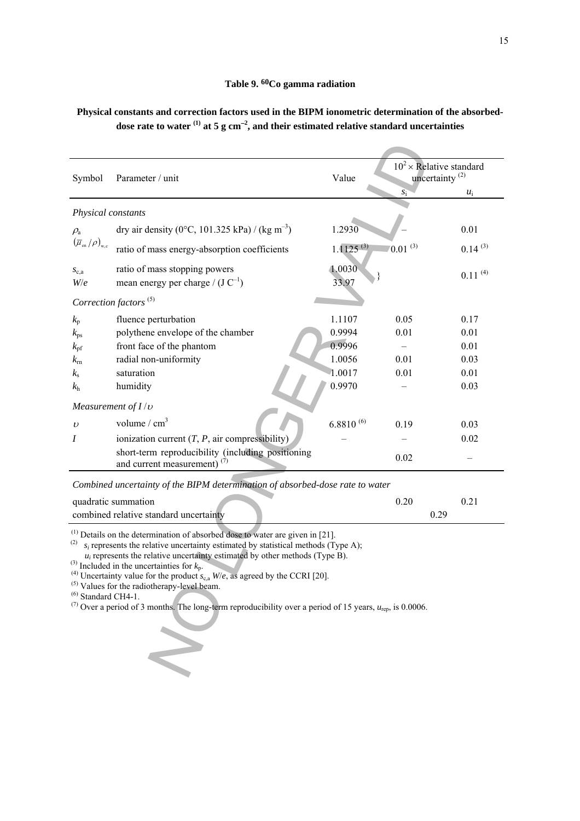## **Physical constants and correction factors used in the BIPM ionometric determination of the absorbeddose rate to water (1) at 5 g cm**<sup>−</sup>**<sup>2</sup> , and their estimated relative standard uncertainties**

| Symbol                                                                           | Parameter / unit                                                                                                                                                                                                                                                                                                                                                                                                                                                                                                                                                                                                             | Value            | $10^2 \times$ Relative standard<br>uncertainty $^{(2)}$ |              |
|----------------------------------------------------------------------------------|------------------------------------------------------------------------------------------------------------------------------------------------------------------------------------------------------------------------------------------------------------------------------------------------------------------------------------------------------------------------------------------------------------------------------------------------------------------------------------------------------------------------------------------------------------------------------------------------------------------------------|------------------|---------------------------------------------------------|--------------|
|                                                                                  |                                                                                                                                                                                                                                                                                                                                                                                                                                                                                                                                                                                                                              |                  | $S_1^-$                                                 | $u_i$        |
| Physical constants                                                               |                                                                                                                                                                                                                                                                                                                                                                                                                                                                                                                                                                                                                              |                  |                                                         |              |
| $\rho_{\rm a}$                                                                   | dry air density (0°C, 101.325 kPa) / (kg m <sup>-3</sup> )                                                                                                                                                                                                                                                                                                                                                                                                                                                                                                                                                                   | 1.2930           |                                                         | 0.01         |
| $\left(\overline{\mu}_{\textrm{\tiny en}}\left/\rho\right)_{\textrm{\tiny W,c}}$ | ratio of mass energy-absorption coefficients                                                                                                                                                                                                                                                                                                                                                                                                                                                                                                                                                                                 | $1.1125^{(3)}$   | $(0.01)^{(3)}$                                          | $0.14^{(3)}$ |
| $S_{c,a}$<br>W/e                                                                 | ratio of mass stopping powers<br>mean energy per charge / $(J C^{-1})$                                                                                                                                                                                                                                                                                                                                                                                                                                                                                                                                                       | 1.0030<br>33.97  |                                                         | $0.11^{(4)}$ |
|                                                                                  | Correction factors <sup>(5)</sup>                                                                                                                                                                                                                                                                                                                                                                                                                                                                                                                                                                                            |                  |                                                         |              |
| $k_{p}$<br>$k_{\rm ps}$                                                          | fluence perturbation<br>polythene envelope of the chamber                                                                                                                                                                                                                                                                                                                                                                                                                                                                                                                                                                    | 1.1107<br>0.9994 | 0.05<br>0.01                                            | 0.17<br>0.01 |
| $k_{\rm pf}$<br>$k_{\rm rh}$                                                     | front face of the phantom<br>radial non-uniformity                                                                                                                                                                                                                                                                                                                                                                                                                                                                                                                                                                           | 0.9996<br>1.0056 | 0.01                                                    | 0.01<br>0.03 |
| $k_{\rm s}$                                                                      | saturation                                                                                                                                                                                                                                                                                                                                                                                                                                                                                                                                                                                                                   | 1.0017           | 0.01                                                    | 0.01         |
| $k_{\rm h}$                                                                      | humidity                                                                                                                                                                                                                                                                                                                                                                                                                                                                                                                                                                                                                     | 0.9970           |                                                         | 0.03         |
| Measurement of $I/v$                                                             |                                                                                                                                                                                                                                                                                                                                                                                                                                                                                                                                                                                                                              |                  |                                                         |              |
| $\upsilon$                                                                       | volume / $cm3$                                                                                                                                                                                                                                                                                                                                                                                                                                                                                                                                                                                                               | $6.8810^{(6)}$   | 0.19                                                    | 0.03         |
| I                                                                                | ionization current $(T, P, \text{air compressibility})$                                                                                                                                                                                                                                                                                                                                                                                                                                                                                                                                                                      |                  |                                                         | 0.02         |
|                                                                                  | short-term reproducibility (including positioning<br>and current measurement) $(7)$                                                                                                                                                                                                                                                                                                                                                                                                                                                                                                                                          |                  | 0.02                                                    |              |
|                                                                                  | Combined uncertainty of the BIPM determination of absorbed-dose rate to water                                                                                                                                                                                                                                                                                                                                                                                                                                                                                                                                                |                  |                                                         |              |
|                                                                                  | quadratic summation<br>combined relative standard uncertainty                                                                                                                                                                                                                                                                                                                                                                                                                                                                                                                                                                |                  | 0.20<br>0.29                                            | 0.21         |
| (2)<br>$^{(6)}$ Standard CH4-1.                                                  | $(1)$ Details on the determination of absorbed dose to water are given in [21].<br>$s_i$ represents the relative uncertainty estimated by statistical methods (Type A);<br>$u_i$ represents the relative uncertainty estimated by other methods (Type B).<br><sup>(3)</sup> Included in the uncertainties for $k_p$ .<br><sup>(4)</sup> Uncertainty value for the product $s_{c,a}$ W/e, as agreed by the CCRI [20].<br><sup>(5)</sup> Values for the radiotherapy-level beam.<br><sup>(7)</sup> Over a period of 3 months. The long-term reproducibility over a period of 15 years, $u_{\text{ren}}$ , is 0.0006.<br>$\leq$ |                  |                                                         |              |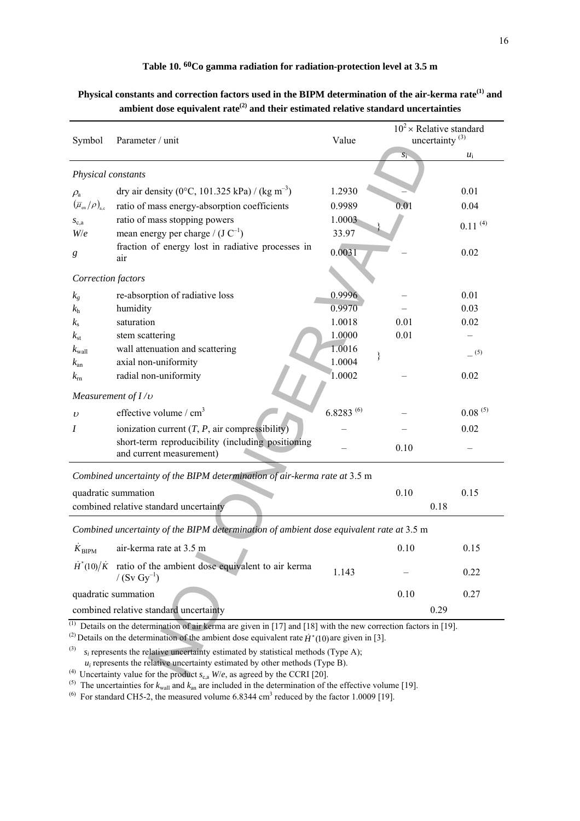## **Table 10. 60Co gamma radiation for radiation-protection level at 3.5 m**

| Symbol                                                                                      | Parameter / unit                                                                                                                                                                                                                                                                                                                                                                                             | Value           | $10^2 \times$ Relative standard<br>uncertainty <sup>(3)</sup> |              |  |  |
|---------------------------------------------------------------------------------------------|--------------------------------------------------------------------------------------------------------------------------------------------------------------------------------------------------------------------------------------------------------------------------------------------------------------------------------------------------------------------------------------------------------------|-----------------|---------------------------------------------------------------|--------------|--|--|
|                                                                                             |                                                                                                                                                                                                                                                                                                                                                                                                              |                 | $S_1$                                                         | $u_i$        |  |  |
| Physical constants                                                                          |                                                                                                                                                                                                                                                                                                                                                                                                              |                 |                                                               |              |  |  |
| $\rho_{\rm a}$                                                                              | dry air density (0°C, 101.325 kPa) / (kg m <sup>-3</sup> )                                                                                                                                                                                                                                                                                                                                                   | 1.2930          |                                                               | 0.01         |  |  |
| $\left(\overline{\mu}_{\textrm{\tiny en}}/\rho\right)_{\textrm{\tiny a,c}}$                 | ratio of mass energy-absorption coefficients                                                                                                                                                                                                                                                                                                                                                                 | 0.9989          | 0.01                                                          | 0.04         |  |  |
| $S_{c,a}$<br>W/e                                                                            | ratio of mass stopping powers<br>mean energy per charge / $(J C^{-1})$                                                                                                                                                                                                                                                                                                                                       | 1.0003<br>33.97 |                                                               | $0.11^{(4)}$ |  |  |
| g                                                                                           | fraction of energy lost in radiative processes in<br>air                                                                                                                                                                                                                                                                                                                                                     | 0.0031          |                                                               | 0.02         |  |  |
| Correction factors                                                                          |                                                                                                                                                                                                                                                                                                                                                                                                              |                 |                                                               |              |  |  |
| $k_{g}$                                                                                     | re-absorption of radiative loss                                                                                                                                                                                                                                                                                                                                                                              | 0.9996          |                                                               | 0.01         |  |  |
| $k_{\rm h}$                                                                                 | humidity                                                                                                                                                                                                                                                                                                                                                                                                     | 0.9970          |                                                               | 0.03         |  |  |
| $k_{\rm s}$                                                                                 | saturation                                                                                                                                                                                                                                                                                                                                                                                                   | 1.0018          | 0.01                                                          | 0.02         |  |  |
| $k_{\rm st}$                                                                                | stem scattering                                                                                                                                                                                                                                                                                                                                                                                              | 1.0000          | 0.01                                                          |              |  |  |
| $k_{\text{wall}}$                                                                           | wall attenuation and scattering                                                                                                                                                                                                                                                                                                                                                                              | 1.0016          |                                                               | (5)          |  |  |
| $k_{\rm an}$                                                                                | axial non-uniformity                                                                                                                                                                                                                                                                                                                                                                                         | 1.0004          | }                                                             |              |  |  |
| $k_{\rm rh}$                                                                                | radial non-uniformity                                                                                                                                                                                                                                                                                                                                                                                        | 1.0002          |                                                               | 0.02         |  |  |
| Measurement of $I/v$                                                                        |                                                                                                                                                                                                                                                                                                                                                                                                              |                 |                                                               |              |  |  |
| $\upsilon$                                                                                  | effective volume / $cm3$                                                                                                                                                                                                                                                                                                                                                                                     | $6.8283^{(6)}$  |                                                               | $0.08^{(5)}$ |  |  |
| $\boldsymbol{I}$                                                                            | ionization current $(T, P, \text{air compressibility})$                                                                                                                                                                                                                                                                                                                                                      |                 |                                                               | 0.02         |  |  |
|                                                                                             | short-term reproducibility (including positioning                                                                                                                                                                                                                                                                                                                                                            |                 |                                                               |              |  |  |
|                                                                                             | and current measurement)                                                                                                                                                                                                                                                                                                                                                                                     |                 | 0.10                                                          |              |  |  |
| Combined uncertainty of the BIPM determination of air-kerma rate at 3.5 m                   |                                                                                                                                                                                                                                                                                                                                                                                                              |                 |                                                               |              |  |  |
| quadratic summation<br>0.10<br>0.15                                                         |                                                                                                                                                                                                                                                                                                                                                                                                              |                 |                                                               |              |  |  |
| combined relative standard uncertainty                                                      |                                                                                                                                                                                                                                                                                                                                                                                                              | 0.18            |                                                               |              |  |  |
| Combined uncertainty of the BIPM determination of ambient dose equivalent rate at 3.5 m     |                                                                                                                                                                                                                                                                                                                                                                                                              |                 |                                                               |              |  |  |
| $K_{\text{BIPM}}$                                                                           | air-kerma rate at 3.5 m                                                                                                                                                                                                                                                                                                                                                                                      |                 | 0.10                                                          | 0.15         |  |  |
| $\dot{H}^*(10)/\dot{K}$                                                                     | ratio of the ambient dose equivalent to air kerma<br>/ $(Sv Gy^{-1})$                                                                                                                                                                                                                                                                                                                                        | 1.143           |                                                               | 0.22         |  |  |
|                                                                                             | quadratic summation                                                                                                                                                                                                                                                                                                                                                                                          |                 | 0.10                                                          | 0.27         |  |  |
| combined relative standard uncertainty                                                      |                                                                                                                                                                                                                                                                                                                                                                                                              |                 | 0.29                                                          |              |  |  |
| $^{(1)}$<br>(3)                                                                             | Details on the determination of air kerma are given in [17] and [18] with the new correction factors in [19].<br><sup>(2)</sup> Details on the determination of the ambient dose equivalent rate $\dot{H}^*(10)$ are given in [3].<br>$s_i$ represents the relative uncertainty estimated by statistical methods (Type A);<br>$u_i$ represents the relative uncertainty estimated by other methods (Type B). |                 |                                                               |              |  |  |
| <sup>(4)</sup> Uncertainty value for the product $s_{c,a}$ W/e, as agreed by the CCRI [20]. |                                                                                                                                                                                                                                                                                                                                                                                                              |                 |                                                               |              |  |  |

# **Physical constants and correction factors used in the BIPM determination of the air-kerma rate(1) and**  ambient dose equivalent rate<sup>(2)</sup> and their estimated relative standard uncertainties

<sup>(4)</sup> Uncertainty value for the product  $s_{c,a}$  *W/e*, as agreed by the CCRI [20].

<sup>(5)</sup> The uncertainties for  $k_{wall}$  and  $k_{an}$  are included in the determination of the effective volume [19].

<sup>(6)</sup> For standard CH5-2, the measured volume  $6.8344 \text{ cm}^3$  reduced by the factor 1.0009 [19].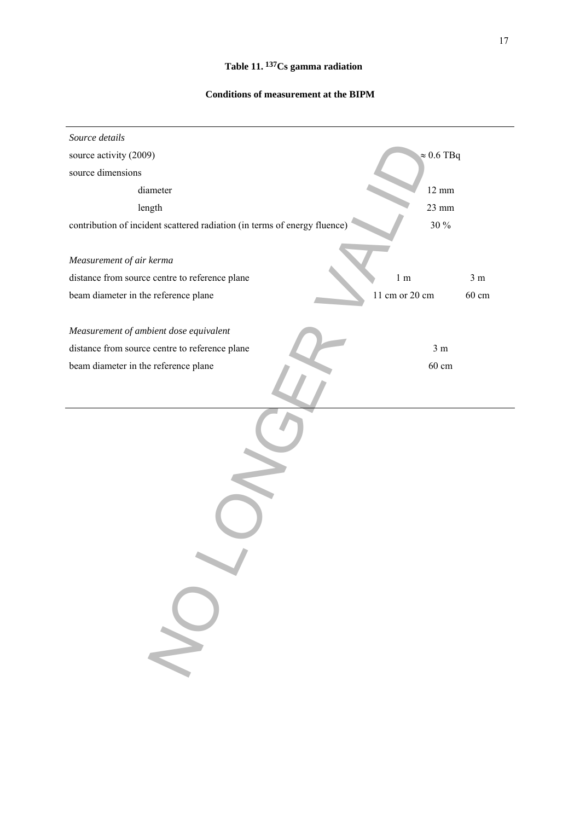# **Table 11. 137Cs gamma radiation**

## **Conditions of measurement at the BIPM**

| Source details                                                            |                |                   |
|---------------------------------------------------------------------------|----------------|-------------------|
| source activity (2009)                                                    |                | $\approx 0.6$ TBq |
| source dimensions                                                         |                |                   |
| diameter                                                                  |                | $12 \text{ mm}$   |
| length                                                                    |                | $23 \text{ mm}$   |
| contribution of incident scattered radiation (in terms of energy fluence) |                | $30\,\%$          |
|                                                                           |                |                   |
| Measurement of air kerma                                                  |                |                   |
| distance from source centre to reference plane                            | 1 <sub>m</sub> | 3 <sub>m</sub>    |
| beam diameter in the reference plane                                      | 11 cm or 20 cm | 60 cm             |
| Measurement of ambient dose equivalent                                    |                |                   |
| distance from source centre to reference plane                            |                | 3 <sub>m</sub>    |
| beam diameter in the reference plane                                      |                | $60 \text{ cm}$   |
|                                                                           |                |                   |
|                                                                           |                |                   |
|                                                                           |                |                   |
|                                                                           |                |                   |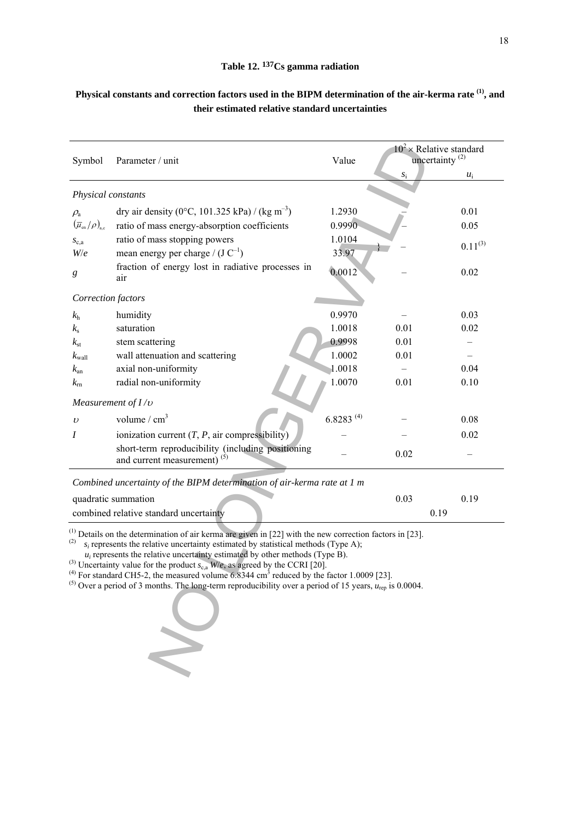## **Table 12. 137Cs gamma radiation**

| Symbol                                                                      | Parameter / unit                                                                                                                                                                                                                                                                                                                                                                                                                                                                                                                                                                                                                             | Value          | $10^2 \times$ Relative standard<br>uncertainty $^{(2)}$ |              |  |
|-----------------------------------------------------------------------------|----------------------------------------------------------------------------------------------------------------------------------------------------------------------------------------------------------------------------------------------------------------------------------------------------------------------------------------------------------------------------------------------------------------------------------------------------------------------------------------------------------------------------------------------------------------------------------------------------------------------------------------------|----------------|---------------------------------------------------------|--------------|--|
|                                                                             |                                                                                                                                                                                                                                                                                                                                                                                                                                                                                                                                                                                                                                              |                | $s_{\rm i}$                                             | $u_i$        |  |
| Physical constants                                                          |                                                                                                                                                                                                                                                                                                                                                                                                                                                                                                                                                                                                                                              |                |                                                         |              |  |
| $\rho_{\rm a}$                                                              | dry air density (0°C, 101.325 kPa) / (kg m <sup>-3</sup> )                                                                                                                                                                                                                                                                                                                                                                                                                                                                                                                                                                                   | 1.2930         |                                                         | 0.01         |  |
| $\left(\overline{\mu}_{\textrm{\tiny en}}/\rho\right)_{\textrm{\tiny a,c}}$ | ratio of mass energy-absorption coefficients                                                                                                                                                                                                                                                                                                                                                                                                                                                                                                                                                                                                 | 0.9990         |                                                         | 0.05         |  |
| $S_{c,a}$                                                                   | ratio of mass stopping powers                                                                                                                                                                                                                                                                                                                                                                                                                                                                                                                                                                                                                | 1.0104         |                                                         | $0.11^{(3)}$ |  |
| W/e                                                                         | mean energy per charge / $(J C^{-1})$                                                                                                                                                                                                                                                                                                                                                                                                                                                                                                                                                                                                        | 33.97          |                                                         |              |  |
| $\boldsymbol{g}$                                                            | fraction of energy lost in radiative processes in<br>air                                                                                                                                                                                                                                                                                                                                                                                                                                                                                                                                                                                     | 0.0012         |                                                         | 0.02         |  |
| Correction factors                                                          |                                                                                                                                                                                                                                                                                                                                                                                                                                                                                                                                                                                                                                              |                |                                                         |              |  |
| k <sub>h</sub>                                                              | humidity                                                                                                                                                                                                                                                                                                                                                                                                                                                                                                                                                                                                                                     | 0.9970         |                                                         | 0.03         |  |
| $k_{\rm s}$                                                                 | saturation                                                                                                                                                                                                                                                                                                                                                                                                                                                                                                                                                                                                                                   | 1.0018         | 0.01                                                    | 0.02         |  |
| $k_{\rm st}$                                                                | stem scattering                                                                                                                                                                                                                                                                                                                                                                                                                                                                                                                                                                                                                              | 0.9998         | 0.01                                                    |              |  |
| $k_{\text{wall}}$                                                           | wall attenuation and scattering                                                                                                                                                                                                                                                                                                                                                                                                                                                                                                                                                                                                              | 1.0002         | 0.01                                                    |              |  |
| $k_{\rm an}$                                                                | axial non-uniformity                                                                                                                                                                                                                                                                                                                                                                                                                                                                                                                                                                                                                         | 1.0018         |                                                         | 0.04         |  |
| $k_{\rm rh}$                                                                | radial non-uniformity                                                                                                                                                                                                                                                                                                                                                                                                                                                                                                                                                                                                                        | 1.0070         | 0.01                                                    | 0.10         |  |
|                                                                             | Measurement of $I/v$                                                                                                                                                                                                                                                                                                                                                                                                                                                                                                                                                                                                                         |                |                                                         |              |  |
| $\upsilon$                                                                  | volume / $cm3$                                                                                                                                                                                                                                                                                                                                                                                                                                                                                                                                                                                                                               | $6.8283^{(4)}$ |                                                         | 0.08         |  |
| Ι                                                                           | ionization current $(T, P, \text{air compressibility})$                                                                                                                                                                                                                                                                                                                                                                                                                                                                                                                                                                                      |                |                                                         | 0.02         |  |
|                                                                             | short-term reproducibility (including positioning<br>and current measurement) <sup>(5)</sup>                                                                                                                                                                                                                                                                                                                                                                                                                                                                                                                                                 |                | 0.02                                                    |              |  |
|                                                                             | Combined uncertainty of the BIPM determination of air-kerma rate at 1 m                                                                                                                                                                                                                                                                                                                                                                                                                                                                                                                                                                      |                |                                                         |              |  |
|                                                                             | quadratic summation                                                                                                                                                                                                                                                                                                                                                                                                                                                                                                                                                                                                                          |                | 0.03                                                    | 0.19         |  |
|                                                                             | combined relative standard uncertainty                                                                                                                                                                                                                                                                                                                                                                                                                                                                                                                                                                                                       |                | 0.19                                                    |              |  |
| (2)                                                                         | $^{(1)}$ Details on the determination of air kerma are given in [22] with the new correction factors in [23].<br>$s_i$ represents the relative uncertainty estimated by statistical methods (Type A);<br>$u_i$ represents the relative uncertainty estimated by other methods (Type B).<br><sup>(3)</sup> Uncertainty value for the product $s_{c,a}$ W/e, as agreed by the CCRI [20].<br><sup>(4)</sup> For standard CH5-2, the measured volume 6.8344 cm <sup>3</sup> reduced by the factor 1.0009 [23].<br><sup>(5)</sup> Over a period of 3 months. The long-term reproducibility over a period of 15 years, $u_{\text{rep}}$ is 0.0004. |                |                                                         |              |  |

# **Physical constants and correction factors used in the BIPM determination of the air-kerma rate (1), and their estimated relative standard uncertainties**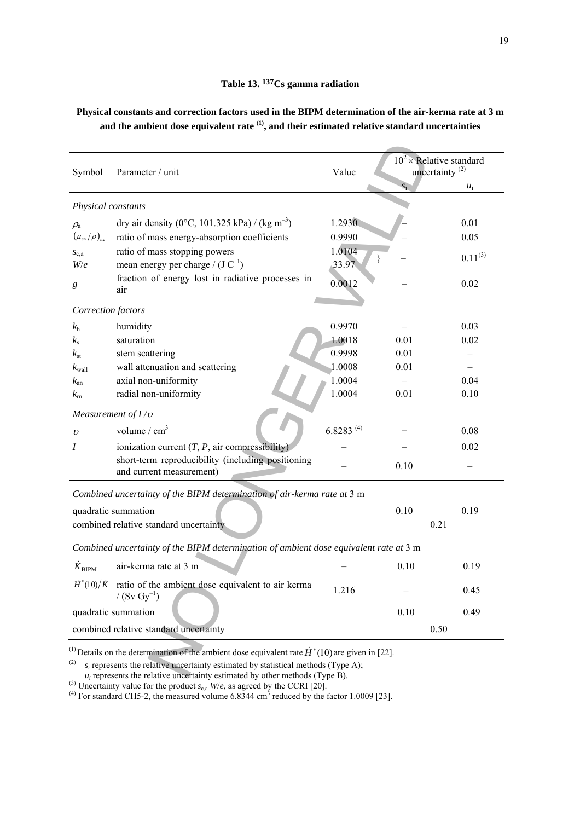**Physical constants and correction factors used in the BIPM determination of the air-kerma rate at 3 m and the ambient dose equivalent rate (1), and their estimated relative standard uncertainties** 

| Symbol                                                              | Parameter / unit                                                                              | Value          | $10^2 \times$ Relative standard<br>uncertainty $^{(2)}$ |              |  |
|---------------------------------------------------------------------|-----------------------------------------------------------------------------------------------|----------------|---------------------------------------------------------|--------------|--|
|                                                                     |                                                                                               |                | $S_1$                                                   | $u_i$        |  |
| Physical constants                                                  |                                                                                               |                |                                                         |              |  |
| $\rho_{\rm a}$                                                      | dry air density (0°C, 101.325 kPa) / (kg m <sup>-3</sup> )                                    | 1.2930         |                                                         | 0.01         |  |
| $\left(\overline{\mu}_{\text{\rm en}}/\rho\right)_{\text{\rm a.c}}$ | ratio of mass energy-absorption coefficients                                                  | 0.9990         |                                                         | 0.05         |  |
| $S_{c,a}$                                                           | ratio of mass stopping powers                                                                 | 1.0104         |                                                         | $0.11^{(3)}$ |  |
| W/e                                                                 | mean energy per charge / $(J C^{-1})$                                                         | 33.97          |                                                         |              |  |
| g                                                                   | fraction of energy lost in radiative processes in<br>air                                      | 0.0012         |                                                         | 0.02         |  |
| Correction factors                                                  |                                                                                               |                |                                                         |              |  |
| $k_{\rm h}$                                                         | humidity                                                                                      | 0.9970         |                                                         | 0.03         |  |
| $k_{\rm s}$                                                         | saturation                                                                                    | 1.0018         | 0.01                                                    | 0.02         |  |
| $k_{\rm st}$                                                        | stem scattering                                                                               | 0.9998         | 0.01                                                    |              |  |
| $k_{\text{wall}}$                                                   | wall attenuation and scattering                                                               | 1.0008         | 0.01                                                    |              |  |
| $k_{\rm an}$                                                        | axial non-uniformity                                                                          | 1.0004         |                                                         | 0.04         |  |
| $k_{\rm rn}$                                                        | radial non-uniformity                                                                         | 1.0004         | 0.01                                                    | 0.10         |  |
|                                                                     | Measurement of $I/v$                                                                          |                |                                                         |              |  |
| $\upsilon$                                                          | volume / $cm3$                                                                                | $6.8283^{(4)}$ |                                                         | 0.08         |  |
| Ι                                                                   | ionization current $(T, P, \text{air compressibility})$                                       |                |                                                         | 0.02         |  |
|                                                                     | short-term reproducibility (including positioning<br>and current measurement)                 |                | 0.10                                                    |              |  |
|                                                                     | Combined uncertainty of the BIPM determination of air-kerma rate at 3 m                       |                |                                                         |              |  |
|                                                                     |                                                                                               |                | 0.10                                                    | 0.19         |  |
| quadratic summation<br>combined relative standard uncertainty       |                                                                                               |                |                                                         | 0.21         |  |
|                                                                     |                                                                                               |                |                                                         |              |  |
|                                                                     | Combined uncertainty of the BIPM determination of ambient dose equivalent rate at 3 m         |                |                                                         |              |  |
| $K_{\rm BIPM}$                                                      | air-kerma rate at 3 m                                                                         |                | 0.10                                                    | 0.19         |  |
|                                                                     | $\dot{H}^*(10)/\dot{K}$ ratio of the ambient dose equivalent to air kerma<br>/ $(Sv Gy^{-1})$ | 1.216          |                                                         | 0.45         |  |
|                                                                     | quadratic summation                                                                           |                | 0.10                                                    | 0.49         |  |
| combined relative standard uncertainty                              |                                                                                               |                | 0.50                                                    |              |  |

<sup>(4)</sup> For standard CH5-2, the measured volume  $6.8344 \text{ cm}^3$  reduced by the factor 1.0009 [23].

 $u_i$  represents the relative uncertainty estimated by other methods (Type B).

<sup>&</sup>lt;sup>(3)</sup> Uncertainty value for the product  $s_{c,a}$  *W/e*, as agreed by the CCRI [20].